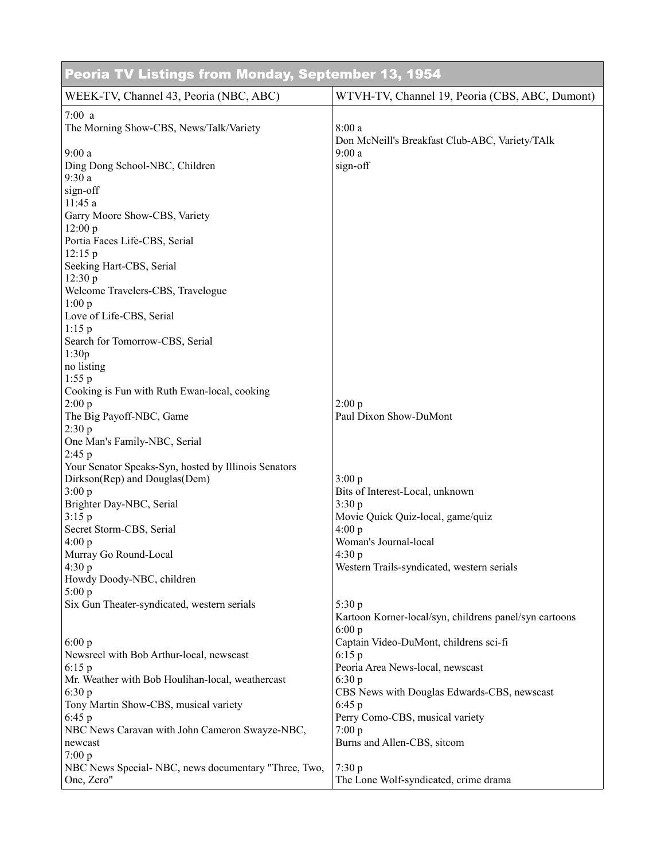| Peoria TV Listings from Monday, September 13, 1954                 |                                                                           |  |
|--------------------------------------------------------------------|---------------------------------------------------------------------------|--|
| WEEK-TV, Channel 43, Peoria (NBC, ABC)                             | WTVH-TV, Channel 19, Peoria (CBS, ABC, Dumont)                            |  |
| 7:00a<br>The Morning Show-CBS, News/Talk/Variety<br>9:00a          | 8:00a<br>Don McNeill's Breakfast Club-ABC, Variety/TAlk<br>9:00a          |  |
| Ding Dong School-NBC, Children<br>9:30a                            | sign-off                                                                  |  |
| sign-off<br>11:45 a                                                |                                                                           |  |
| Garry Moore Show-CBS, Variety<br>12:00 p                           |                                                                           |  |
| Portia Faces Life-CBS, Serial<br>12:15p                            |                                                                           |  |
| Seeking Hart-CBS, Serial<br>12:30 p                                |                                                                           |  |
| Welcome Travelers-CBS, Travelogue<br>1:00 p                        |                                                                           |  |
| Love of Life-CBS, Serial<br>$1:15$ p                               |                                                                           |  |
| Search for Tomorrow-CBS, Serial<br>1:30p<br>no listing             |                                                                           |  |
| 1:55 p<br>Cooking is Fun with Ruth Ewan-local, cooking             |                                                                           |  |
| 2:00 p<br>The Big Payoff-NBC, Game                                 | 2:00 p<br>Paul Dixon Show-DuMont                                          |  |
| 2:30 p<br>One Man's Family-NBC, Serial                             |                                                                           |  |
| 2:45 p<br>Your Senator Speaks-Syn, hosted by Illinois Senators     |                                                                           |  |
| Dirkson(Rep) and Douglas(Dem)<br>3:00 p                            | 3:00 p<br>Bits of Interest-Local, unknown                                 |  |
| Brighter Day-NBC, Serial<br>3:15p                                  | 3:30 p<br>Movie Quick Quiz-local, game/quiz                               |  |
| Secret Storm-CBS, Serial<br>4:00 p                                 | 4:00 p<br>Woman's Journal-local                                           |  |
| Murray Go Round-Local<br>4:30 p                                    | 4:30 p<br>Western Trails-syndicated, western serials                      |  |
| Howdy Doody-NBC, children<br>5:00 p                                |                                                                           |  |
| Six Gun Theater-syndicated, western serials                        | 5:30p<br>Kartoon Korner-local/syn, childrens panel/syn cartoons<br>6:00 p |  |
| 6:00 p<br>Newsreel with Bob Arthur-local, newscast                 | Captain Video-DuMont, childrens sci-fi<br>6:15p                           |  |
| 6:15 p<br>Mr. Weather with Bob Houlihan-local, weathercast         | Peoria Area News-local, newscast<br>6:30 p                                |  |
| 6:30 p<br>Tony Martin Show-CBS, musical variety                    | CBS News with Douglas Edwards-CBS, newscast<br>6:45p                      |  |
| 6:45p<br>NBC News Caravan with John Cameron Swayze-NBC,            | Perry Como-CBS, musical variety<br>7:00 p                                 |  |
| newcast<br>7:00 p                                                  | Burns and Allen-CBS, sitcom                                               |  |
| NBC News Special- NBC, news documentary "Three, Two,<br>One, Zero" | 7:30 p<br>The Lone Wolf-syndicated, crime drama                           |  |